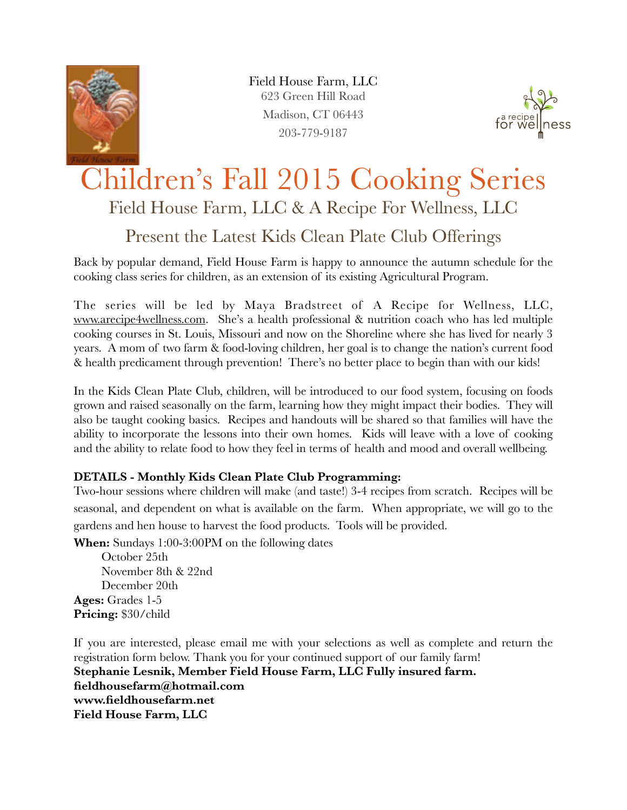

Field House Farm, LLC 623 Green Hill Road Madison, CT 06443 203-779-9187



## Children's Fall 2015 Cooking Series Field House Farm, LLC & A Recipe For Wellness, LLC

## Present the Latest Kids Clean Plate Club Offerings

Back by popular demand, Field House Farm is happy to announce the autumn schedule for the cooking class series for children, as an extension of its existing Agricultural Program.

The series will be led by Maya Bradstreet of A Recipe for Wellness, LLC, [www.arecipe4wellness.com.](http://www.arecipe4wellness.com) She's a health professional & nutrition coach who has led multiple cooking courses in St. Louis, Missouri and now on the Shoreline where she has lived for nearly 3 years. A mom of two farm & food-loving children, her goal is to change the nation's current food & health predicament through prevention! There's no better place to begin than with our kids!

In the Kids Clean Plate Club, children, will be introduced to our food system, focusing on foods grown and raised seasonally on the farm, learning how they might impact their bodies. They will also be taught cooking basics. Recipes and handouts will be shared so that families will have the ability to incorporate the lessons into their own homes. Kids will leave with a love of cooking and the ability to relate food to how they feel in terms of health and mood and overall wellbeing.

## **DETAILS - Monthly Kids Clean Plate Club Programming:**

Two-hour sessions where children will make (and taste!) 3-4 recipes from scratch. Recipes will be seasonal, and dependent on what is available on the farm. When appropriate, we will go to the gardens and hen house to harvest the food products. Tools will be provided.

**When:** Sundays 1:00-3:00PM on the following dates

October 25th November 8th & 22nd December 20th **Ages:** Grades 1-5 **Pricing:** \$30/child

If you are interested, please email me with your selections as well as complete and return the registration form below. Thank you for your continued support of our family farm! **Stephanie Lesnik, Member Field House Farm, LLC Fully insured farm. fieldhousefarm@hotmail.com www.fieldhousefarm.net Field House Farm, LLC**